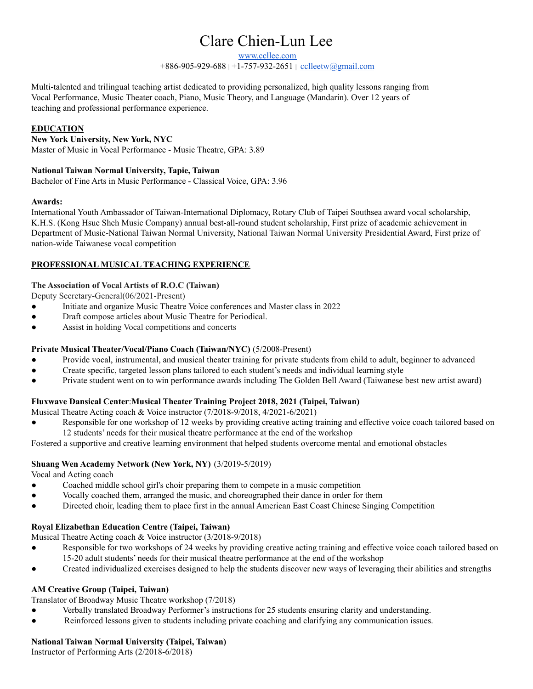# Clare Chien-Lun Lee

[www.ccllee.com](https://www.ccllee.com/)

+886-905-929-688 | +1-757-932-2651 | [cclleetw@gmail.com](mailto:chienlunleenyc@gmail.com)

Multi-talented and trilingual teaching artist dedicated to providing personalized, high quality lessons ranging from Vocal Performance, Music Theater coach, Piano, Music Theory, and Language (Mandarin). Over 12 years of teaching and professional performance experience.

#### **EDUCATION**

**New York University, New York, NYC** Master of Music in Vocal Performance - Music Theatre, GPA: 3.89

## **National Taiwan Normal University, Tapie, Taiwan**

Bachelor of Fine Arts in Music Performance - Classical Voice, GPA: 3.96

#### **Awards:**

International Youth Ambassador of Taiwan-International Diplomacy, Rotary Club of Taipei Southsea award vocal scholarship, K.H.S. (Kong Hsue Sheh Music Company) annual best-all-round student scholarship, First prize of academic achievement in Department of Music-National Taiwan Normal University, National Taiwan Normal University Presidential Award, First prize of nation-wide Taiwanese vocal competition

#### **PROFESSIONAL MUSICAL TEACHING EXPERIENCE**

#### **The Association of Vocal Artists of R.O.C (Taiwan)**

Deputy Secretary-General(06/2021-Present)

- Initiate and organize Music Theatre Voice conferences and Master class in 2022
- Draft compose articles about Music Theatre for Periodical.
- Assist in holding Vocal competitions and concerts

#### **Private Musical Theater/Vocal/Piano Coach (Taiwan/NYC)** (5/2008-Present)

- Provide vocal, instrumental, and musical theater training for private students from child to adult, beginner to advanced
- Create specific, targeted lesson plans tailored to each student's needs and individual learning style
- Private student went on to win performance awards including The Golden Bell Award (Taiwanese best new artist award)

# **Fluxwave Dansical Center**:**Musical Theater Training Project 2018, 2021 (Taipei, Taiwan)**

- Musical Theatre Acting coach & Voice instructor (7/2018-9/2018, 4/2021-6/2021)
- Responsible for one workshop of 12 weeks by providing creative acting training and effective voice coach tailored based on 12 students' needs for their musical theatre performance at the end of the workshop

Fostered a supportive and creative learning environment that helped students overcome mental and emotional obstacles

#### **Shuang Wen Academy Network (New York, NY)** (3/2019-5/2019)

Vocal and Acting coach

- Coached middle school girl's choir preparing them to compete in a music competition
- Vocally coached them, arranged the music, and choreographed their dance in order for them
- Directed choir, leading them to place first in the annual American East Coast Chinese Singing Competition

#### **Royal Elizabethan Education Centre (Taipei, Taiwan)**

Musical Theatre Acting coach & Voice instructor (3/2018-9/2018)

- Responsible for two workshops of 24 weeks by providing creative acting training and effective voice coach tailored based on 15-20 adult students' needs for their musical theatre performance at the end of the workshop
- Created individualized exercises designed to help the students discover new ways of leveraging their abilities and strengths

#### **AM Creative Group (Taipei, Taiwan)**

Translator of Broadway Music Theatre workshop (7/2018)

- Verbally translated Broadway Performer's instructions for 25 students ensuring clarity and understanding.
- Reinforced lessons given to students including private coaching and clarifying any communication issues.

#### **National Taiwan Normal University (Taipei, Taiwan)**

Instructor of Performing Arts (2/2018-6/2018)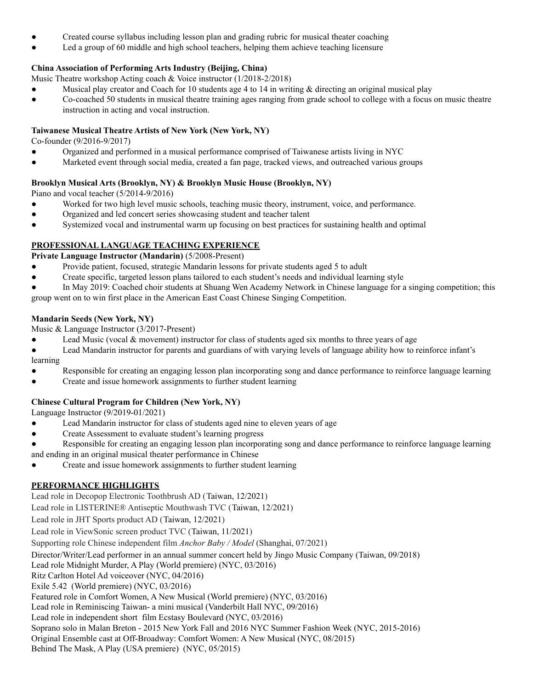- Created course syllabus including lesson plan and grading rubric for musical theater coaching
- Led a group of 60 middle and high school teachers, helping them achieve teaching licensure

## **China Association of Performing Arts Industry (Beijing, China)**

Music Theatre workshop Acting coach & Voice instructor (1/2018-2/2018)

- Musical play creator and Coach for 10 students age 4 to 14 in writing & directing an original musical play
- Co-coached 50 students in musical theatre training ages ranging from grade school to college with a focus on music theatre instruction in acting and vocal instruction.

## **Taiwanese Musical Theatre Artists of New York (New York, NY)**

Co-founder (9/2016-9/2017)

- Organized and performed in a musical performance comprised of Taiwanese artists living in NYC
- Marketed event through social media, created a fan page, tracked views, and outreached various groups

## **Brooklyn Musical Arts (Brooklyn, NY) & Brooklyn Music House (Brooklyn, NY)**

Piano and vocal teacher (5/2014-9/2016)

- Worked for two high level music schools, teaching music theory, instrument, voice, and performance.
- Organized and led concert series showcasing student and teacher talent
- Systemized vocal and instrumental warm up focusing on best practices for sustaining health and optimal

# **PROFESSIONAL LANGUAGE TEACHING EXPERIENCE**

**Private Language Instructor (Mandarin)** (5/2008-Present)

- Provide patient, focused, strategic Mandarin lessons for private students aged 5 to adult
- Create specific, targeted lesson plans tailored to each student's needs and individual learning style
- In May 2019: Coached choir students at Shuang Wen Academy Network in Chinese language for a singing competition; this

group went on to win first place in the American East Coast Chinese Singing Competition.

## **Mandarin Seeds (New York, NY)**

Music & Language Instructor (3/2017-Present)

- Lead Music (vocal  $&$  movement) instructor for class of students aged six months to three years of age
- Lead Mandarin instructor for parents and guardians of with varying levels of language ability how to reinforce infant's

learning

- Responsible for creating an engaging lesson plan incorporating song and dance performance to reinforce language learning
- Create and issue homework assignments to further student learning

# **Chinese Cultural Program for Children (New York, NY)**

Language Instructor (9/2019-01/2021)

- Lead Mandarin instructor for class of students aged nine to eleven years of age
- Create Assessment to evaluate student's learning progress
- Responsible for creating an engaging lesson plan incorporating song and dance performance to reinforce language learning and ending in an original musical theater performance in Chinese
- Create and issue homework assignments to further student learning

# **PERFORMANCE HIGHLIGHTS**

Lead role in Decopop Electronic Toothbrush AD (Taiwan, 12/2021)

Lead role in LISTERINE® Antiseptic Mouthwash TVC (Taiwan, 12/2021)

Lead role in JHT Sports product AD (Taiwan, 12/2021)

Lead role in ViewSonic screen product TVC (Taiwan, 11/2021)

Supporting role Chinese independent film *Anchor Baby / Model* (Shanghai, 07/2021)

Director/Writer/Lead performer in an annual summer concert held by Jingo Music Company (Taiwan, 09/2018)

Lead role Midnight Murder, A Play (World premiere) (NYC, 03/2016)

Ritz Carlton Hotel Ad voiceover (NYC, 04/2016)

Exile 5.42 (World premiere) (NYC, 03/2016)

Featured role in Comfort Women, A New Musical (World premiere) (NYC, 03/2016)

Lead role in Reminiscing Taiwan- a mini musical (Vanderbilt Hall NYC, 09/2016)

Lead role in independent short film Ecstasy Boulevard (NYC, 03/2016)

- Soprano solo in Malan Breton 2015 New York Fall and 2016 NYC Summer Fashion Week (NYC, 2015-2016)
- Original Ensemble cast at Off-Broadway: Comfort Women: A New Musical (NYC, 08/2015)

Behind The Mask, A Play (USA premiere) (NYC, 05/2015)